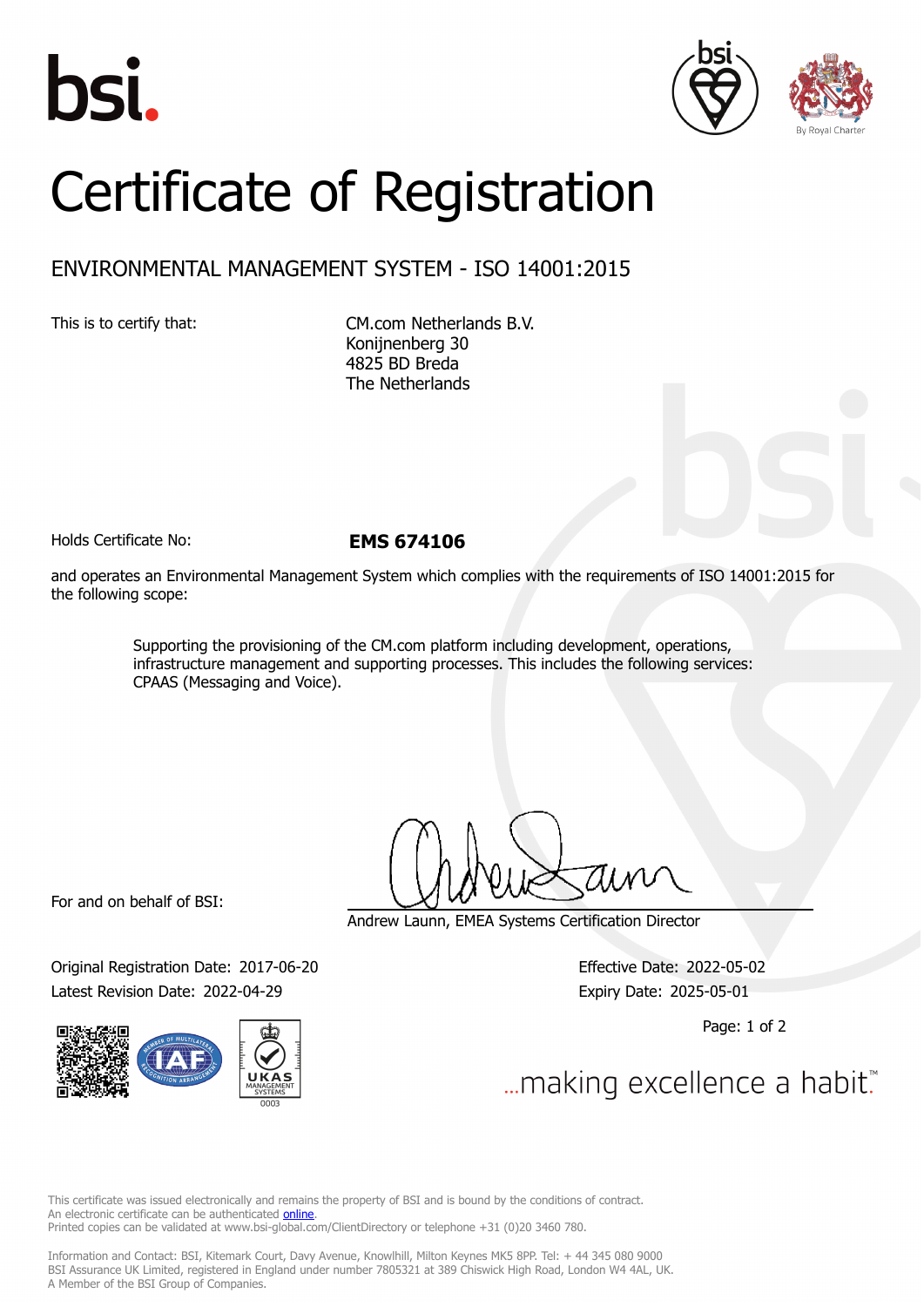





## Certificate of Registration

## ENVIRONMENTAL MANAGEMENT SYSTEM - ISO 14001:2015

This is to certify that: CM.com Netherlands B.V. Konijnenberg 30 4825 BD Breda The Netherlands

Holds Certificate No: **EMS 674106**

and operates an Environmental Management System which complies with the requirements of ISO 14001:2015 for the following scope:

> Supporting the provisioning of the CM.com platform including development, operations, infrastructure management and supporting processes. This includes the following services: CPAAS (Messaging and Voice).

For and on behalf of BSI:

Original Registration Date: 2017-06-20 Effective Date: 2022-05-02 Latest Revision Date: 2022-04-29 Expiry Date: 2025-05-01



Andrew Launn, EMEA Systems Certification Director

Page: 1 of 2

... making excellence a habit.

This certificate was issued electronically and remains the property of BSI and is bound by the conditions of contract. An electronic certificate can be authenticated **[online](https://pgplus.bsigroup.com/CertificateValidation/CertificateValidator.aspx?CertificateNumber=EMS+674106&ReIssueDate=29%2f04%2f2022&Template=cemea_en)**. Printed copies can be validated at www.bsi-global.com/ClientDirectory or telephone +31 (0)20 3460 780.

Information and Contact: BSI, Kitemark Court, Davy Avenue, Knowlhill, Milton Keynes MK5 8PP. Tel: + 44 345 080 9000 BSI Assurance UK Limited, registered in England under number 7805321 at 389 Chiswick High Road, London W4 4AL, UK. A Member of the BSI Group of Companies.